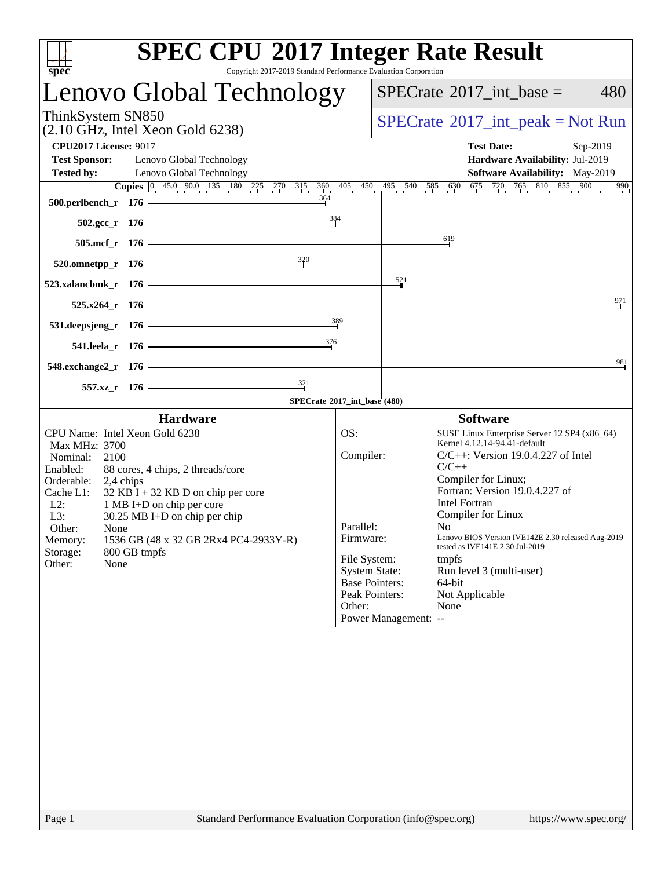| spec <sup>®</sup>                                                                                                                                                                                                                                                                                                                                                                                       | <b>SPEC CPU®2017 Integer Rate Result</b><br>Copyright 2017-2019 Standard Performance Evaluation Corporation                                                                                                                                                                                                                                                                                                                                                                                                                                                                              |
|---------------------------------------------------------------------------------------------------------------------------------------------------------------------------------------------------------------------------------------------------------------------------------------------------------------------------------------------------------------------------------------------------------|------------------------------------------------------------------------------------------------------------------------------------------------------------------------------------------------------------------------------------------------------------------------------------------------------------------------------------------------------------------------------------------------------------------------------------------------------------------------------------------------------------------------------------------------------------------------------------------|
| Lenovo Global Technology                                                                                                                                                                                                                                                                                                                                                                                | $SPECrate^{\circledast}2017\_int\_base =$<br>480                                                                                                                                                                                                                                                                                                                                                                                                                                                                                                                                         |
| ThinkSystem SN850<br>$(2.10 \text{ GHz}, \text{Intel Xeon Gold } 6238)$                                                                                                                                                                                                                                                                                                                                 | $SPECrate^{\circledcirc}2017\_int\_peak = Not Run$                                                                                                                                                                                                                                                                                                                                                                                                                                                                                                                                       |
| <b>CPU2017 License: 9017</b><br><b>Test Sponsor:</b><br>Lenovo Global Technology<br><b>Tested by:</b><br>Lenovo Global Technology                                                                                                                                                                                                                                                                       | <b>Test Date:</b><br>Sep-2019<br>Hardware Availability: Jul-2019<br>Software Availability: May-2019<br><b>Copies</b> $\begin{bmatrix} 0 & 45 & 90 & 135 & 180 & 225 & 270 & 315 & 360 & 405 & 450 & 495 & 540 & 585 & 630 & 675 & 720 & 765 & 810 & 855 & 900 & 990 \end{bmatrix}$                                                                                                                                                                                                                                                                                                       |
| 364<br>500.perlbench_r 176<br><u> 1980 - Johann Barn, mars ann an t-Amhain Aonaich an t-Aonaich an t-Aonaich ann an t-Aonaich ann an t-Aonaich</u>                                                                                                                                                                                                                                                      | $\frac{384}{9}$                                                                                                                                                                                                                                                                                                                                                                                                                                                                                                                                                                          |
| 502.gcc_r 176<br>505.mcf_r 176                                                                                                                                                                                                                                                                                                                                                                          | 619                                                                                                                                                                                                                                                                                                                                                                                                                                                                                                                                                                                      |
| $\frac{320}{5}$<br>$520.0$ mnetpp_r 176                                                                                                                                                                                                                                                                                                                                                                 |                                                                                                                                                                                                                                                                                                                                                                                                                                                                                                                                                                                          |
| 523.xalancbmk_r 176<br>$525.x264$ r 176                                                                                                                                                                                                                                                                                                                                                                 | 521<br>971                                                                                                                                                                                                                                                                                                                                                                                                                                                                                                                                                                               |
| <u> 1989 - Johann Barbara, martxa a</u><br>531.deepsjeng_r 176                                                                                                                                                                                                                                                                                                                                          | 389                                                                                                                                                                                                                                                                                                                                                                                                                                                                                                                                                                                      |
| 376<br>541.leela_r 176                                                                                                                                                                                                                                                                                                                                                                                  | 981                                                                                                                                                                                                                                                                                                                                                                                                                                                                                                                                                                                      |
| 548.exchange2_r 176<br>$\frac{321}{7}$<br>557.xz_r 176                                                                                                                                                                                                                                                                                                                                                  |                                                                                                                                                                                                                                                                                                                                                                                                                                                                                                                                                                                          |
| <b>Hardware</b>                                                                                                                                                                                                                                                                                                                                                                                         | - SPECrate®2017_int_base (480)<br><b>Software</b>                                                                                                                                                                                                                                                                                                                                                                                                                                                                                                                                        |
| CPU Name: Intel Xeon Gold 6238<br>Max MHz: 3700<br>Nominal:<br>2100<br>Enabled:<br>88 cores, 4 chips, 2 threads/core<br>Orderable:<br>2,4 chips<br>$32$ KB I + 32 KB D on chip per core<br>Cache L1:<br>$L2$ :<br>1 MB I+D on chip per core<br>30.25 MB I+D on chip per chip<br>L3:<br>Other:<br>None<br>1536 GB (48 x 32 GB 2Rx4 PC4-2933Y-R)<br>Memory:<br>800 GB tmpfs<br>Storage:<br>None<br>Other: | OS:<br>SUSE Linux Enterprise Server 12 SP4 (x86_64)<br>Kernel 4.12.14-94.41-default<br>Compiler:<br>$C/C++$ : Version 19.0.4.227 of Intel<br>$C/C++$<br>Compiler for Linux;<br>Fortran: Version 19.0.4.227 of<br><b>Intel Fortran</b><br>Compiler for Linux<br>Parallel:<br>No ta<br>Lenovo BIOS Version IVE142E 2.30 released Aug-2019<br>Firmware:<br>tested as IVE141E 2.30 Jul-2019<br>File System:<br>tmpfs<br><b>System State:</b><br>Run level 3 (multi-user)<br><b>Base Pointers:</b><br>$64$ -bit<br>Peak Pointers:<br>Not Applicable<br>Other:<br>None<br>Power Management: -- |
|                                                                                                                                                                                                                                                                                                                                                                                                         |                                                                                                                                                                                                                                                                                                                                                                                                                                                                                                                                                                                          |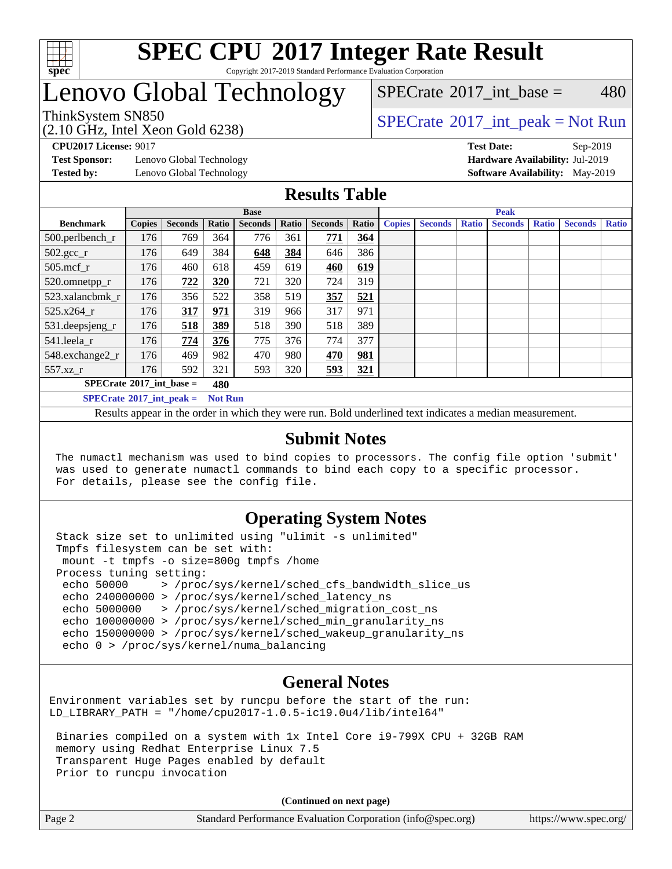

#### **[SPEC CPU](http://www.spec.org/auto/cpu2017/Docs/result-fields.html#SPECCPU2017IntegerRateResult)[2017 Integer Rate Result](http://www.spec.org/auto/cpu2017/Docs/result-fields.html#SPECCPU2017IntegerRateResult)** Copyright 2017-2019 Standard Performance Evaluation Corporation

## Lenovo Global Technology

 $SPECTate^{\circ}2017$  int base = 480

(2.10 GHz, Intel Xeon Gold 6238)

ThinkSystem SN850<br>  $SPECTA = N \cdot S$  [SPECrate](http://www.spec.org/auto/cpu2017/Docs/result-fields.html#SPECrate2017intpeak)®[2017\\_int\\_peak = N](http://www.spec.org/auto/cpu2017/Docs/result-fields.html#SPECrate2017intpeak)ot Run

**[Test Sponsor:](http://www.spec.org/auto/cpu2017/Docs/result-fields.html#TestSponsor)** Lenovo Global Technology **[Hardware Availability:](http://www.spec.org/auto/cpu2017/Docs/result-fields.html#HardwareAvailability)** Jul-2019

**[CPU2017 License:](http://www.spec.org/auto/cpu2017/Docs/result-fields.html#CPU2017License)** 9017 **[Test Date:](http://www.spec.org/auto/cpu2017/Docs/result-fields.html#TestDate)** Sep-2019 **[Tested by:](http://www.spec.org/auto/cpu2017/Docs/result-fields.html#Testedby)** Lenovo Global Technology **[Software Availability:](http://www.spec.org/auto/cpu2017/Docs/result-fields.html#SoftwareAvailability)** May-2019

#### **[Results Table](http://www.spec.org/auto/cpu2017/Docs/result-fields.html#ResultsTable)**

|                                   |               |                |                | <b>Base</b>    |       |                |       |               |                |              | <b>Peak</b>    |              |                |              |
|-----------------------------------|---------------|----------------|----------------|----------------|-------|----------------|-------|---------------|----------------|--------------|----------------|--------------|----------------|--------------|
| <b>Benchmark</b>                  | <b>Copies</b> | <b>Seconds</b> | Ratio          | <b>Seconds</b> | Ratio | <b>Seconds</b> | Ratio | <b>Copies</b> | <b>Seconds</b> | <b>Ratio</b> | <b>Seconds</b> | <b>Ratio</b> | <b>Seconds</b> | <b>Ratio</b> |
| 500.perlbench_r                   | 176           | 769            | 364            | 776            | 361   | 771            | 364   |               |                |              |                |              |                |              |
| $502.\text{gcc}$ _r               | 176           | 649            | 384            | 648            | 384   | 646            | 386   |               |                |              |                |              |                |              |
| $505$ .mcf r                      | 176           | 460            | 618            | 459            | 619   | 460            | 619   |               |                |              |                |              |                |              |
| 520.omnetpp_r                     | 176           | 722            | 320            | 721            | 320   | 724            | 319   |               |                |              |                |              |                |              |
| 523.xalancbmk r                   | 176           | 356            | 522            | 358            | 519   | 357            | 521   |               |                |              |                |              |                |              |
| 525.x264 r                        | 176           | 317            | 971            | 319            | 966   | 317            | 971   |               |                |              |                |              |                |              |
| 531.deepsjeng_r                   | 176           | 518            | 389            | 518            | 390   | 518            | 389   |               |                |              |                |              |                |              |
| 541.leela r                       | 176           | 774            | 376            | 775            | 376   | 774            | 377   |               |                |              |                |              |                |              |
| 548.exchange2_r                   | 176           | 469            | 982            | 470            | 980   | 470            | 981   |               |                |              |                |              |                |              |
| $557.xz$ _r                       | 176           | 592            | 321            | 593            | 320   | <u>593</u>     | 321   |               |                |              |                |              |                |              |
| $SPECrate^{\circ}2017$ int base = |               |                | 480            |                |       |                |       |               |                |              |                |              |                |              |
| $SPECrate^{\circ}2017$ int peak = |               |                | <b>Not Run</b> |                |       |                |       |               |                |              |                |              |                |              |

Results appear in the [order in which they were run](http://www.spec.org/auto/cpu2017/Docs/result-fields.html#RunOrder). Bold underlined text [indicates a median measurement](http://www.spec.org/auto/cpu2017/Docs/result-fields.html#Median).

#### **[Submit Notes](http://www.spec.org/auto/cpu2017/Docs/result-fields.html#SubmitNotes)**

 The numactl mechanism was used to bind copies to processors. The config file option 'submit' was used to generate numactl commands to bind each copy to a specific processor. For details, please see the config file.

#### **[Operating System Notes](http://www.spec.org/auto/cpu2017/Docs/result-fields.html#OperatingSystemNotes)**

 Stack size set to unlimited using "ulimit -s unlimited" Tmpfs filesystem can be set with: mount -t tmpfs -o size=800g tmpfs /home Process tuning setting: echo 50000 > /proc/sys/kernel/sched\_cfs\_bandwidth slice us echo 240000000 > /proc/sys/kernel/sched\_latency\_ns echo 5000000 > /proc/sys/kernel/sched\_migration\_cost\_ns echo 100000000 > /proc/sys/kernel/sched\_min\_granularity\_ns echo 150000000 > /proc/sys/kernel/sched\_wakeup\_granularity\_ns echo 0 > /proc/sys/kernel/numa\_balancing

#### **[General Notes](http://www.spec.org/auto/cpu2017/Docs/result-fields.html#GeneralNotes)**

Environment variables set by runcpu before the start of the run: LD\_LIBRARY\_PATH = "/home/cpu2017-1.0.5-ic19.0u4/lib/intel64"

 Binaries compiled on a system with 1x Intel Core i9-799X CPU + 32GB RAM memory using Redhat Enterprise Linux 7.5 Transparent Huge Pages enabled by default Prior to runcpu invocation

**(Continued on next page)**

| Page 2 | Standard Performance Evaluation Corporation (info@spec.org) | https://www.spec.org/ |
|--------|-------------------------------------------------------------|-----------------------|
|        |                                                             |                       |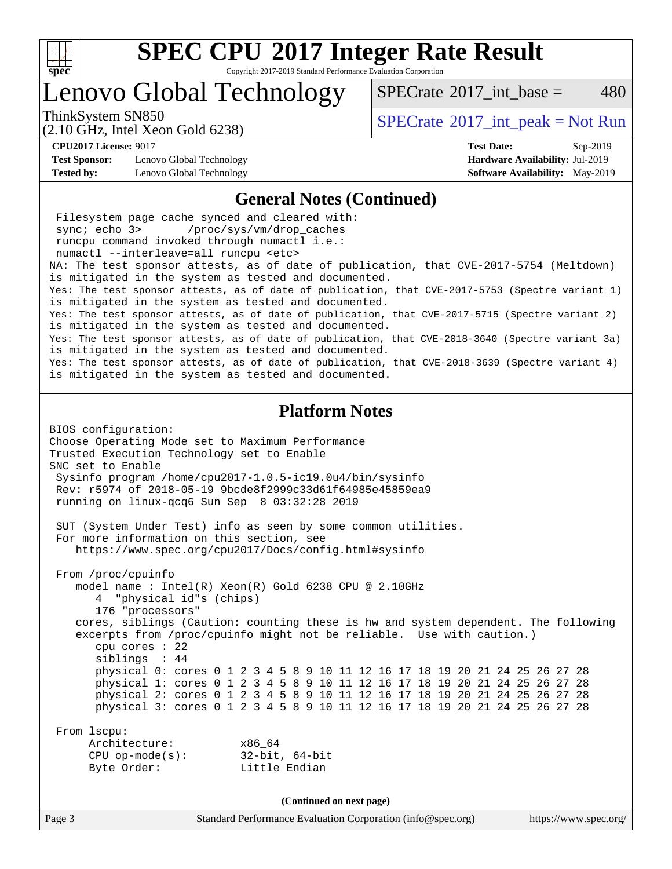

Copyright 2017-2019 Standard Performance Evaluation Corporation

### Lenovo Global Technology

ThinkSystem SN850<br>  $SPECTA = N \cdot S$  [SPECrate](http://www.spec.org/auto/cpu2017/Docs/result-fields.html#SPECrate2017intpeak)®[2017\\_int\\_peak = N](http://www.spec.org/auto/cpu2017/Docs/result-fields.html#SPECrate2017intpeak)ot Run

[SPECrate](http://www.spec.org/auto/cpu2017/Docs/result-fields.html#SPECrate2017intbase)<sup>®</sup>2017 int base = 480

(2.10 GHz, Intel Xeon Gold 6238)

**[Test Sponsor:](http://www.spec.org/auto/cpu2017/Docs/result-fields.html#TestSponsor)** Lenovo Global Technology **[Hardware Availability:](http://www.spec.org/auto/cpu2017/Docs/result-fields.html#HardwareAvailability)** Jul-2019 **[Tested by:](http://www.spec.org/auto/cpu2017/Docs/result-fields.html#Testedby)** Lenovo Global Technology **[Software Availability:](http://www.spec.org/auto/cpu2017/Docs/result-fields.html#SoftwareAvailability)** May-2019

**[CPU2017 License:](http://www.spec.org/auto/cpu2017/Docs/result-fields.html#CPU2017License)** 9017 **[Test Date:](http://www.spec.org/auto/cpu2017/Docs/result-fields.html#TestDate)** Sep-2019

#### **[General Notes \(Continued\)](http://www.spec.org/auto/cpu2017/Docs/result-fields.html#GeneralNotes)**

Page 3 Standard Performance Evaluation Corporation [\(info@spec.org\)](mailto:info@spec.org) <https://www.spec.org/> Filesystem page cache synced and cleared with: sync; echo 3> /proc/sys/vm/drop\_caches runcpu command invoked through numactl i.e.: numactl --interleave=all runcpu <etc> NA: The test sponsor attests, as of date of publication, that CVE-2017-5754 (Meltdown) is mitigated in the system as tested and documented. Yes: The test sponsor attests, as of date of publication, that CVE-2017-5753 (Spectre variant 1) is mitigated in the system as tested and documented. Yes: The test sponsor attests, as of date of publication, that CVE-2017-5715 (Spectre variant 2) is mitigated in the system as tested and documented. Yes: The test sponsor attests, as of date of publication, that CVE-2018-3640 (Spectre variant 3a) is mitigated in the system as tested and documented. Yes: The test sponsor attests, as of date of publication, that CVE-2018-3639 (Spectre variant 4) is mitigated in the system as tested and documented. **[Platform Notes](http://www.spec.org/auto/cpu2017/Docs/result-fields.html#PlatformNotes)** BIOS configuration: Choose Operating Mode set to Maximum Performance Trusted Execution Technology set to Enable SNC set to Enable Sysinfo program /home/cpu2017-1.0.5-ic19.0u4/bin/sysinfo Rev: r5974 of 2018-05-19 9bcde8f2999c33d61f64985e45859ea9 running on linux-qcq6 Sun Sep 8 03:32:28 2019 SUT (System Under Test) info as seen by some common utilities. For more information on this section, see <https://www.spec.org/cpu2017/Docs/config.html#sysinfo> From /proc/cpuinfo model name : Intel(R) Xeon(R) Gold 6238 CPU @ 2.10GHz 4 "physical id"s (chips) 176 "processors" cores, siblings (Caution: counting these is hw and system dependent. The following excerpts from /proc/cpuinfo might not be reliable. Use with caution.) cpu cores : 22 siblings : 44 physical 0: cores 0 1 2 3 4 5 8 9 10 11 12 16 17 18 19 20 21 24 25 26 27 28 physical 1: cores 0 1 2 3 4 5 8 9 10 11 12 16 17 18 19 20 21 24 25 26 27 28 physical 2: cores 0 1 2 3 4 5 8 9 10 11 12 16 17 18 19 20 21 24 25 26 27 28 physical 3: cores 0 1 2 3 4 5 8 9 10 11 12 16 17 18 19 20 21 24 25 26 27 28 From lscpu: Architecture: x86\_64 CPU op-mode(s): 32-bit, 64-bit Byte Order: Little Endian **(Continued on next page)**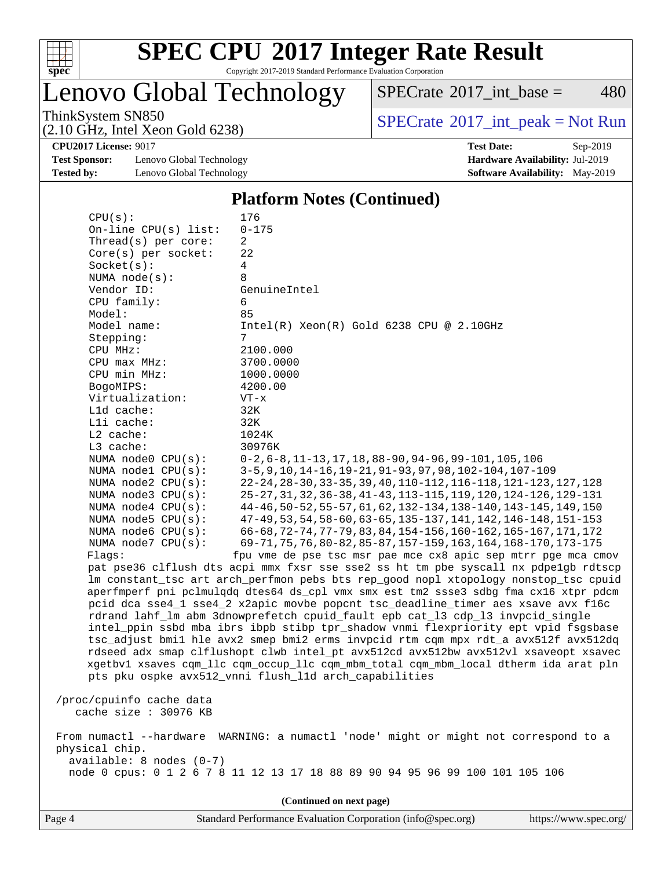

Copyright 2017-2019 Standard Performance Evaluation Corporation

Lenovo Global Technology

 $SPECTate$ <sup>®</sup>[2017\\_int\\_base =](http://www.spec.org/auto/cpu2017/Docs/result-fields.html#SPECrate2017intbase) 480

(2.10 GHz, Intel Xeon Gold 6238)

ThinkSystem SN850<br>  $(2.10 \text{ GHz. Intel } X_{200}$  Gold 6238)<br> [SPECrate](http://www.spec.org/auto/cpu2017/Docs/result-fields.html#SPECrate2017intpeak)®[2017\\_int\\_peak = N](http://www.spec.org/auto/cpu2017/Docs/result-fields.html#SPECrate2017intpeak)ot Run

**[Test Sponsor:](http://www.spec.org/auto/cpu2017/Docs/result-fields.html#TestSponsor)** Lenovo Global Technology **[Hardware Availability:](http://www.spec.org/auto/cpu2017/Docs/result-fields.html#HardwareAvailability)** Jul-2019 **[Tested by:](http://www.spec.org/auto/cpu2017/Docs/result-fields.html#Testedby)** Lenovo Global Technology **[Software Availability:](http://www.spec.org/auto/cpu2017/Docs/result-fields.html#SoftwareAvailability)** May-2019

**[CPU2017 License:](http://www.spec.org/auto/cpu2017/Docs/result-fields.html#CPU2017License)** 9017 **[Test Date:](http://www.spec.org/auto/cpu2017/Docs/result-fields.html#TestDate)** Sep-2019

#### **[Platform Notes \(Continued\)](http://www.spec.org/auto/cpu2017/Docs/result-fields.html#PlatformNotes)**

| CPU(s):                                                                              | 176                                                                                  |  |  |  |  |
|--------------------------------------------------------------------------------------|--------------------------------------------------------------------------------------|--|--|--|--|
| On-line $CPU(s)$ list:                                                               | $0 - 175$                                                                            |  |  |  |  |
| Thread( $s$ ) per core:                                                              | 2                                                                                    |  |  |  |  |
| Core(s) per socket:                                                                  | 22                                                                                   |  |  |  |  |
| Socket(s):                                                                           | 4                                                                                    |  |  |  |  |
| NUMA $node(s)$ :                                                                     | 8                                                                                    |  |  |  |  |
| Vendor ID:                                                                           | GenuineIntel                                                                         |  |  |  |  |
| CPU family:                                                                          | 6                                                                                    |  |  |  |  |
| Model:                                                                               | 85                                                                                   |  |  |  |  |
| Model name:                                                                          | $Intel(R) Xeon(R) Gold 6238 CPU @ 2.10GHz$<br>7                                      |  |  |  |  |
| Stepping:                                                                            |                                                                                      |  |  |  |  |
| CPU MHz:<br>CPU max MHz:                                                             | 2100.000<br>3700.0000                                                                |  |  |  |  |
|                                                                                      |                                                                                      |  |  |  |  |
| CPU min MHz:                                                                         | 1000.0000<br>4200.00                                                                 |  |  |  |  |
| BogoMIPS:<br>Virtualization:                                                         | $VT - x$                                                                             |  |  |  |  |
| L1d cache:                                                                           | 32K                                                                                  |  |  |  |  |
| Lli cache:                                                                           | 32K                                                                                  |  |  |  |  |
| $L2$ cache:                                                                          | 1024K                                                                                |  |  |  |  |
| L3 cache:                                                                            | 30976K                                                                               |  |  |  |  |
| NUMA node0 CPU(s):                                                                   | $0-2, 6-8, 11-13, 17, 18, 88-90, 94-96, 99-101, 105, 106$                            |  |  |  |  |
| NUMA nodel CPU(s):                                                                   | 3-5, 9, 10, 14-16, 19-21, 91-93, 97, 98, 102-104, 107-109                            |  |  |  |  |
| NUMA node2 CPU(s):                                                                   | 22-24, 28-30, 33-35, 39, 40, 110-112, 116-118, 121-123, 127, 128                     |  |  |  |  |
| NUMA node3 CPU(s):                                                                   | 25-27, 31, 32, 36-38, 41-43, 113-115, 119, 120, 124-126, 129-131                     |  |  |  |  |
| NUMA $node4$ $CPU(s)$ :                                                              | 44-46, 50-52, 55-57, 61, 62, 132-134, 138-140, 143-145, 149, 150                     |  |  |  |  |
| NUMA $node5$ $CPU(s)$ :                                                              | 47-49, 53, 54, 58-60, 63-65, 135-137, 141, 142, 146-148, 151-153                     |  |  |  |  |
| NUMA node6 CPU(s):                                                                   | 66-68, 72-74, 77-79, 83, 84, 154-156, 160-162, 165-167, 171, 172                     |  |  |  |  |
| NUMA node7 CPU(s):                                                                   | 69-71, 75, 76, 80-82, 85-87, 157-159, 163, 164, 168-170, 173-175                     |  |  |  |  |
| Flaqs:                                                                               | fpu vme de pse tsc msr pae mce cx8 apic sep mtrr pge mca cmov                        |  |  |  |  |
|                                                                                      | pat pse36 clflush dts acpi mmx fxsr sse sse2 ss ht tm pbe syscall nx pdpelgb rdtscp  |  |  |  |  |
|                                                                                      | lm constant_tsc art arch_perfmon pebs bts rep_good nopl xtopology nonstop_tsc cpuid  |  |  |  |  |
|                                                                                      | aperfmperf pni pclmulqdq dtes64 ds_cpl vmx smx est tm2 ssse3 sdbg fma cx16 xtpr pdcm |  |  |  |  |
|                                                                                      | pcid dca sse4_1 sse4_2 x2apic movbe popcnt tsc_deadline_timer aes xsave avx f16c     |  |  |  |  |
|                                                                                      | rdrand lahf_lm abm 3dnowprefetch cpuid_fault epb cat_13 cdp_13 invpcid_single        |  |  |  |  |
|                                                                                      | intel_ppin ssbd mba ibrs ibpb stibp tpr_shadow vnmi flexpriority ept vpid fsgsbase   |  |  |  |  |
|                                                                                      | tsc_adjust bmil hle avx2 smep bmi2 erms invpcid rtm cqm mpx rdt_a avx512f avx512dq   |  |  |  |  |
|                                                                                      | rdseed adx smap clflushopt clwb intel_pt avx512cd avx512bw avx512vl xsaveopt xsavec  |  |  |  |  |
|                                                                                      | xgetbvl xsaves cqm_llc cqm_occup_llc cqm_mbm_total cqm_mbm_local dtherm ida arat pln |  |  |  |  |
|                                                                                      | pts pku ospke avx512_vnni flush_l1d arch_capabilities                                |  |  |  |  |
|                                                                                      |                                                                                      |  |  |  |  |
| /proc/cpuinfo cache data<br>cache size : 30976 KB                                    |                                                                                      |  |  |  |  |
|                                                                                      |                                                                                      |  |  |  |  |
| From numactl --hardware WARNING: a numactl 'node' might or might not correspond to a |                                                                                      |  |  |  |  |
| physical chip.                                                                       |                                                                                      |  |  |  |  |
| $available: 8 nodes (0-7)$                                                           |                                                                                      |  |  |  |  |
|                                                                                      | node 0 cpus: 0 1 2 6 7 8 11 12 13 17 18 88 89 90 94 95 96 99 100 101 105 106         |  |  |  |  |
|                                                                                      |                                                                                      |  |  |  |  |
|                                                                                      | (Continued on next page)                                                             |  |  |  |  |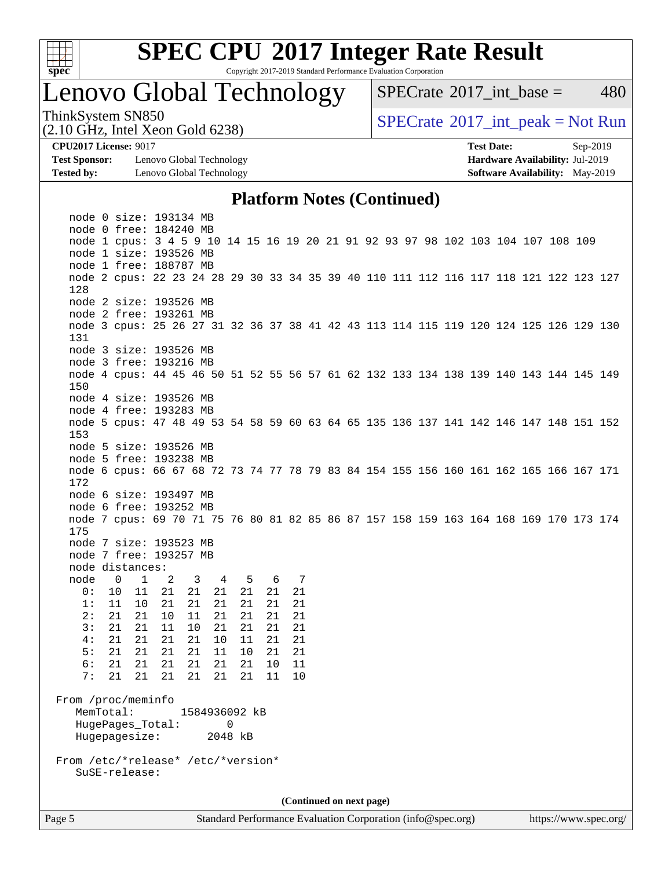

Copyright 2017-2019 Standard Performance Evaluation Corporation

### Lenovo Global Technology

 $SPECTate^{\circ}2017$  int base = 480

(2.10 GHz, Intel Xeon Gold 6238)

ThinkSystem SN850<br>  $SPECTR_{10}$  [SPECrate](http://www.spec.org/auto/cpu2017/Docs/result-fields.html#SPECrate2017intpeak)®[2017\\_int\\_peak = N](http://www.spec.org/auto/cpu2017/Docs/result-fields.html#SPECrate2017intpeak)ot Run

**[Test Sponsor:](http://www.spec.org/auto/cpu2017/Docs/result-fields.html#TestSponsor)** Lenovo Global Technology **[Hardware Availability:](http://www.spec.org/auto/cpu2017/Docs/result-fields.html#HardwareAvailability)** Jul-2019 **[Tested by:](http://www.spec.org/auto/cpu2017/Docs/result-fields.html#Testedby)** Lenovo Global Technology **[Software Availability:](http://www.spec.org/auto/cpu2017/Docs/result-fields.html#SoftwareAvailability)** May-2019

**[CPU2017 License:](http://www.spec.org/auto/cpu2017/Docs/result-fields.html#CPU2017License)** 9017 **[Test Date:](http://www.spec.org/auto/cpu2017/Docs/result-fields.html#TestDate)** Sep-2019

#### **[Platform Notes \(Continued\)](http://www.spec.org/auto/cpu2017/Docs/result-fields.html#PlatformNotes)**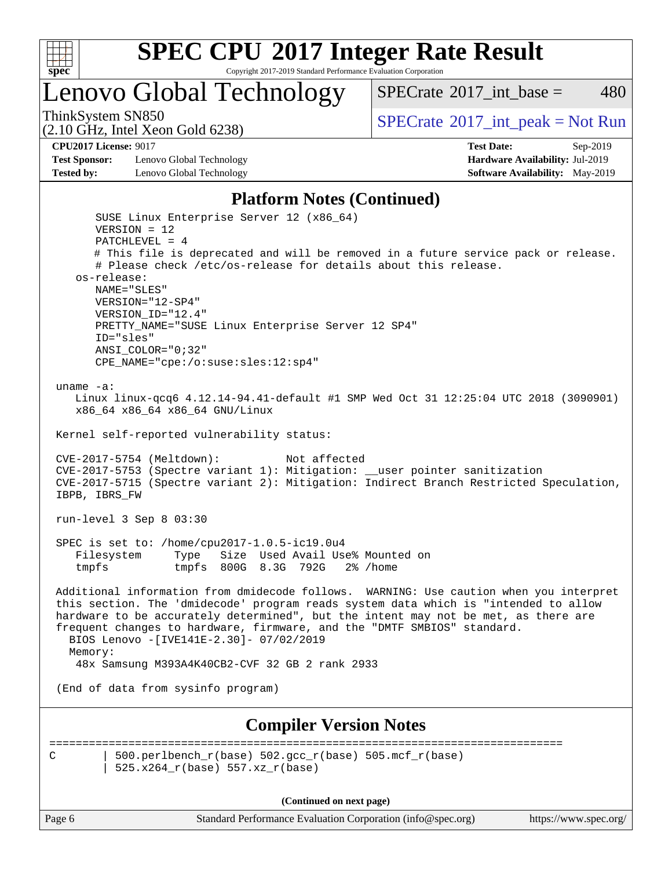

Copyright 2017-2019 Standard Performance Evaluation Corporation

Lenovo Global Technology

ThinkSystem SN850<br>  $SPECTR_{10}$  [SPECrate](http://www.spec.org/auto/cpu2017/Docs/result-fields.html#SPECrate2017intpeak)®[2017\\_int\\_peak = N](http://www.spec.org/auto/cpu2017/Docs/result-fields.html#SPECrate2017intpeak)ot Run

 $SPECTate^{\circ}2017$  int base = 480

(2.10 GHz, Intel Xeon Gold 6238)

**[CPU2017 License:](http://www.spec.org/auto/cpu2017/Docs/result-fields.html#CPU2017License)** 9017 **[Test Date:](http://www.spec.org/auto/cpu2017/Docs/result-fields.html#TestDate)** Sep-2019

**[Test Sponsor:](http://www.spec.org/auto/cpu2017/Docs/result-fields.html#TestSponsor)** Lenovo Global Technology **[Hardware Availability:](http://www.spec.org/auto/cpu2017/Docs/result-fields.html#HardwareAvailability)** Jul-2019 **[Tested by:](http://www.spec.org/auto/cpu2017/Docs/result-fields.html#Testedby)** Lenovo Global Technology **[Software Availability:](http://www.spec.org/auto/cpu2017/Docs/result-fields.html#SoftwareAvailability)** May-2019

#### **[Platform Notes \(Continued\)](http://www.spec.org/auto/cpu2017/Docs/result-fields.html#PlatformNotes)**

 SUSE Linux Enterprise Server 12 (x86\_64) VERSION = 12 PATCHLEVEL = 4 # This file is deprecated and will be removed in a future service pack or release. # Please check /etc/os-release for details about this release. os-release: NAME="SLES" VERSION="12-SP4" VERSION\_ID="12.4" PRETTY\_NAME="SUSE Linux Enterprise Server 12 SP4" ID="sles" ANSI\_COLOR="0;32" CPE\_NAME="cpe:/o:suse:sles:12:sp4" uname -a: Linux linux-qcq6 4.12.14-94.41-default #1 SMP Wed Oct 31 12:25:04 UTC 2018 (3090901) x86\_64 x86\_64 x86\_64 GNU/Linux Kernel self-reported vulnerability status: CVE-2017-5754 (Meltdown): Not affected CVE-2017-5753 (Spectre variant 1): Mitigation: \_\_user pointer sanitization CVE-2017-5715 (Spectre variant 2): Mitigation: Indirect Branch Restricted Speculation, IBPB, IBRS\_FW run-level 3 Sep 8 03:30 SPEC is set to: /home/cpu2017-1.0.5-ic19.0u4 Filesystem Type Size Used Avail Use% Mounted on tmpfs tmpfs 800G 8.3G 792G 2% /home Additional information from dmidecode follows. WARNING: Use caution when you interpret this section. The 'dmidecode' program reads system data which is "intended to allow hardware to be accurately determined", but the intent may not be met, as there are frequent changes to hardware, firmware, and the "DMTF SMBIOS" standard. BIOS Lenovo -[IVE141E-2.30]- 07/02/2019 Memory: 48x Samsung M393A4K40CB2-CVF 32 GB 2 rank 2933 (End of data from sysinfo program) **[Compiler Version Notes](http://www.spec.org/auto/cpu2017/Docs/result-fields.html#CompilerVersionNotes)** ============================================================================== C | 500.perlbench  $r(base)$  502.gcc  $r(base)$  505.mcf  $r(base)$ | 525.x264\_r(base) 557.xz\_r(base)

**(Continued on next page)**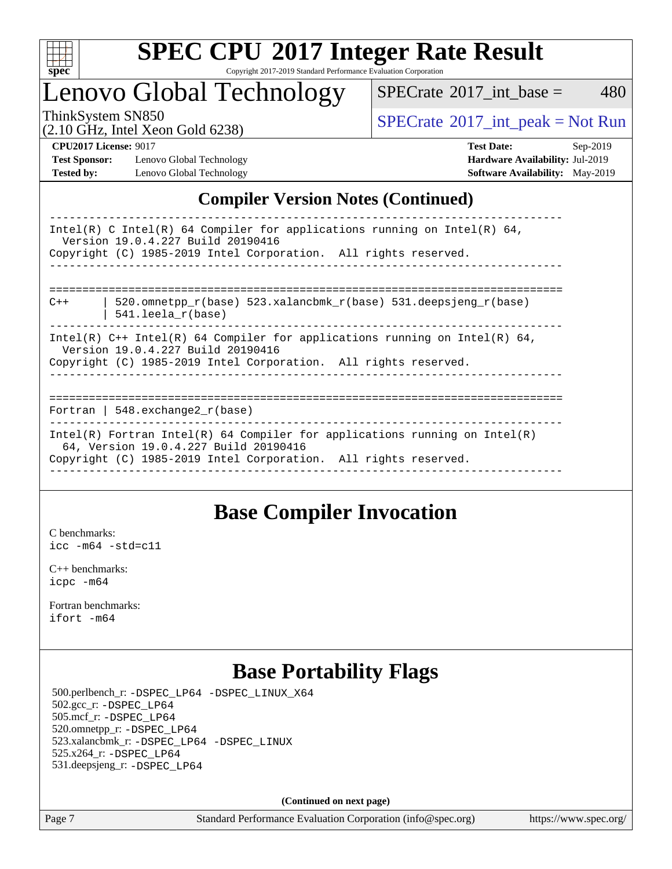

Copyright 2017-2019 Standard Performance Evaluation Corporation

### Lenovo Global Technology

 $SPECTate$ <sup>®</sup>[2017\\_int\\_base =](http://www.spec.org/auto/cpu2017/Docs/result-fields.html#SPECrate2017intbase) 480

(2.10 GHz, Intel Xeon Gold 6238)

ThinkSystem SN850<br>  $(2.10 \text{ GHz. Intel Yoon Gold } 6238)$  [SPECrate](http://www.spec.org/auto/cpu2017/Docs/result-fields.html#SPECrate2017intpeak)®[2017\\_int\\_peak = N](http://www.spec.org/auto/cpu2017/Docs/result-fields.html#SPECrate2017intpeak)ot Run

**[Test Sponsor:](http://www.spec.org/auto/cpu2017/Docs/result-fields.html#TestSponsor)** Lenovo Global Technology **[Hardware Availability:](http://www.spec.org/auto/cpu2017/Docs/result-fields.html#HardwareAvailability)** Jul-2019 **[Tested by:](http://www.spec.org/auto/cpu2017/Docs/result-fields.html#Testedby)** Lenovo Global Technology **[Software Availability:](http://www.spec.org/auto/cpu2017/Docs/result-fields.html#SoftwareAvailability)** May-2019

**[CPU2017 License:](http://www.spec.org/auto/cpu2017/Docs/result-fields.html#CPU2017License)** 9017 **[Test Date:](http://www.spec.org/auto/cpu2017/Docs/result-fields.html#TestDate)** Sep-2019

### **[Compiler Version Notes \(Continued\)](http://www.spec.org/auto/cpu2017/Docs/result-fields.html#CompilerVersionNotes)**

| Intel(R) C Intel(R) 64 Compiler for applications running on Intel(R) 64,<br>Version 19.0.4.227 Build 20190416<br>Copyright (C) 1985-2019 Intel Corporation. All rights reserved.         |
|------------------------------------------------------------------------------------------------------------------------------------------------------------------------------------------|
| 520.omnetpp $r(base)$ 523.xalancbmk $r(base)$ 531.deepsjeng $r(base)$<br>$C++$<br>$541.$ leela r(base)                                                                                   |
| Intel(R) $C++$ Intel(R) 64 Compiler for applications running on Intel(R) 64,<br>Version 19.0.4.227 Build 20190416<br>Copyright (C) 1985-2019 Intel Corporation. All rights reserved.     |
| Fortran   548.exchange2 $r(base)$                                                                                                                                                        |
| $Intel(R)$ Fortran Intel(R) 64 Compiler for applications running on Intel(R)<br>64, Version 19.0.4.227 Build 20190416<br>Copyright (C) 1985-2019 Intel Corporation. All rights reserved. |

### **[Base Compiler Invocation](http://www.spec.org/auto/cpu2017/Docs/result-fields.html#BaseCompilerInvocation)**

[C benchmarks](http://www.spec.org/auto/cpu2017/Docs/result-fields.html#Cbenchmarks): [icc -m64 -std=c11](http://www.spec.org/cpu2017/results/res2019q4/cpu2017-20190917-18318.flags.html#user_CCbase_intel_icc_64bit_c11_33ee0cdaae7deeeab2a9725423ba97205ce30f63b9926c2519791662299b76a0318f32ddfffdc46587804de3178b4f9328c46fa7c2b0cd779d7a61945c91cd35)

[C++ benchmarks:](http://www.spec.org/auto/cpu2017/Docs/result-fields.html#CXXbenchmarks) [icpc -m64](http://www.spec.org/cpu2017/results/res2019q4/cpu2017-20190917-18318.flags.html#user_CXXbase_intel_icpc_64bit_4ecb2543ae3f1412ef961e0650ca070fec7b7afdcd6ed48761b84423119d1bf6bdf5cad15b44d48e7256388bc77273b966e5eb805aefd121eb22e9299b2ec9d9)

[Fortran benchmarks](http://www.spec.org/auto/cpu2017/Docs/result-fields.html#Fortranbenchmarks): [ifort -m64](http://www.spec.org/cpu2017/results/res2019q4/cpu2017-20190917-18318.flags.html#user_FCbase_intel_ifort_64bit_24f2bb282fbaeffd6157abe4f878425411749daecae9a33200eee2bee2fe76f3b89351d69a8130dd5949958ce389cf37ff59a95e7a40d588e8d3a57e0c3fd751)

### **[Base Portability Flags](http://www.spec.org/auto/cpu2017/Docs/result-fields.html#BasePortabilityFlags)**

 500.perlbench\_r: [-DSPEC\\_LP64](http://www.spec.org/cpu2017/results/res2019q4/cpu2017-20190917-18318.flags.html#b500.perlbench_r_basePORTABILITY_DSPEC_LP64) [-DSPEC\\_LINUX\\_X64](http://www.spec.org/cpu2017/results/res2019q4/cpu2017-20190917-18318.flags.html#b500.perlbench_r_baseCPORTABILITY_DSPEC_LINUX_X64) 502.gcc\_r: [-DSPEC\\_LP64](http://www.spec.org/cpu2017/results/res2019q4/cpu2017-20190917-18318.flags.html#suite_basePORTABILITY502_gcc_r_DSPEC_LP64) 505.mcf\_r: [-DSPEC\\_LP64](http://www.spec.org/cpu2017/results/res2019q4/cpu2017-20190917-18318.flags.html#suite_basePORTABILITY505_mcf_r_DSPEC_LP64) 520.omnetpp\_r: [-DSPEC\\_LP64](http://www.spec.org/cpu2017/results/res2019q4/cpu2017-20190917-18318.flags.html#suite_basePORTABILITY520_omnetpp_r_DSPEC_LP64) 523.xalancbmk\_r: [-DSPEC\\_LP64](http://www.spec.org/cpu2017/results/res2019q4/cpu2017-20190917-18318.flags.html#suite_basePORTABILITY523_xalancbmk_r_DSPEC_LP64) [-DSPEC\\_LINUX](http://www.spec.org/cpu2017/results/res2019q4/cpu2017-20190917-18318.flags.html#b523.xalancbmk_r_baseCXXPORTABILITY_DSPEC_LINUX) 525.x264\_r: [-DSPEC\\_LP64](http://www.spec.org/cpu2017/results/res2019q4/cpu2017-20190917-18318.flags.html#suite_basePORTABILITY525_x264_r_DSPEC_LP64) 531.deepsjeng\_r: [-DSPEC\\_LP64](http://www.spec.org/cpu2017/results/res2019q4/cpu2017-20190917-18318.flags.html#suite_basePORTABILITY531_deepsjeng_r_DSPEC_LP64)

**(Continued on next page)**

Page 7 Standard Performance Evaluation Corporation [\(info@spec.org\)](mailto:info@spec.org) <https://www.spec.org/>